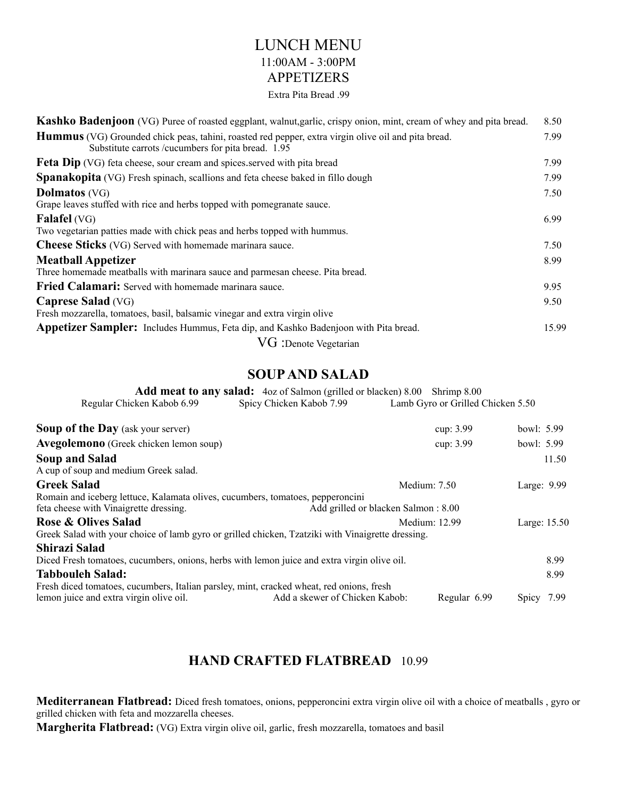# LUNCH MENU 11:00AM - 3:00PM APPETIZERS

#### Extra Pita Bread .99

| <b>Kashko Badenjoon</b> (VG) Puree of roasted eggplant, walnut, garlic, crispy onion, mint, cream of whey and pita bread.                                        | 8.50  |
|------------------------------------------------------------------------------------------------------------------------------------------------------------------|-------|
| <b>Hummus</b> (VG) Grounded chick peas, tahini, roasted red pepper, extra virgin olive oil and pita bread.<br>Substitute carrots /cucumbers for pita bread. 1.95 | 7.99  |
| <b>Feta Dip</b> (VG) feta cheese, sour cream and spices served with pita bread                                                                                   | 7.99  |
| <b>Spanakopita</b> (VG) Fresh spinach, scallions and feta cheese baked in fillo dough                                                                            | 7.99  |
| <b>Dolmatos</b> (VG)<br>Grape leaves stuffed with rice and herbs topped with pomegranate sauce.                                                                  | 7.50  |
| <b>Falafel</b> (VG)                                                                                                                                              | 6.99  |
| Two vegetarian patties made with chick peas and herbs topped with hummus.                                                                                        |       |
| <b>Cheese Sticks</b> (VG) Served with homemade marinara sauce.                                                                                                   | 7.50  |
| <b>Meatball Appetizer</b><br>Three homemade meatballs with marinara sauce and parmesan cheese. Pita bread.                                                       | 8.99  |
| <b>Fried Calamari:</b> Served with homemade marinara sauce.                                                                                                      | 9.95  |
| <b>Caprese Salad</b> (VG)<br>Fresh mozzarella, tomatoes, basil, balsamic vinegar and extra virgin olive                                                          | 9.50  |
| Appetizer Sampler: Includes Hummus, Feta dip, and Kashko Badenjoon with Pita bread.                                                                              | 15.99 |
| $VG$ : Denote Vegetarian                                                                                                                                         |       |

## **SOUP AND SALAD**

|                            | <b>Add meat to any salad:</b> 4oz of Salmon (grilled or blacken) 8.00 Shrimp 8.00 |                                   |
|----------------------------|-----------------------------------------------------------------------------------|-----------------------------------|
| Regular Chicken Kabob 6.99 | Spicy Chicken Kabob 7.99                                                          | Lamb Gyro or Grilled Chicken 5.50 |

| <b>Soup of the Day</b> (ask your server)                                                                                            |                                     | cup: 3.99      | bowl: 5.99  |              |
|-------------------------------------------------------------------------------------------------------------------------------------|-------------------------------------|----------------|-------------|--------------|
| Avegolemono (Greek chicken lemon soup)                                                                                              |                                     | cup: 3.99      | bowl: 5.99  |              |
| Soup and Salad<br>A cup of soup and medium Greek salad.                                                                             |                                     |                |             | 11.50        |
| <b>Greek Salad</b>                                                                                                                  |                                     | Medium: $7.50$ | Large: 9.99 |              |
| Romain and iceberg lettuce, Kalamata olives, cucumbers, tomatoes, pepperoncini<br>feta cheese with Vinaigrette dressing.            | Add grilled or blacken Salmon: 8.00 |                |             |              |
| <b>Rose &amp; Olives Salad</b><br>Greek Salad with your choice of lamb gyro or grilled chicken, Tzatziki with Vinaigrette dressing. |                                     | Medium: 12.99  |             | Large: 15.50 |
| Shirazi Salad                                                                                                                       |                                     |                |             |              |
| Diced Fresh tomatoes, cucumbers, onions, herbs with lemon juice and extra virgin olive oil.                                         |                                     |                |             | 8.99         |
| <b>Tabbouleh Salad:</b>                                                                                                             |                                     |                |             | 8.99         |
| Fresh diced tomatoes, cucumbers, Italian parsley, mint, cracked wheat, red onions, fresh<br>lemon juice and extra virgin olive oil. | Add a skewer of Chicken Kabob:      | Regular 6.99   | Spicy 7.99  |              |

# **HAND CRAFTED FLATBREAD** 10.99

**Mediterranean Flatbread:** Diced fresh tomatoes, onions, pepperoncini extra virgin olive oil with a choice of meatballs , gyro or grilled chicken with feta and mozzarella cheeses.

**Margherita Flatbread:** (VG) Extra virgin olive oil, garlic, fresh mozzarella, tomatoes and basil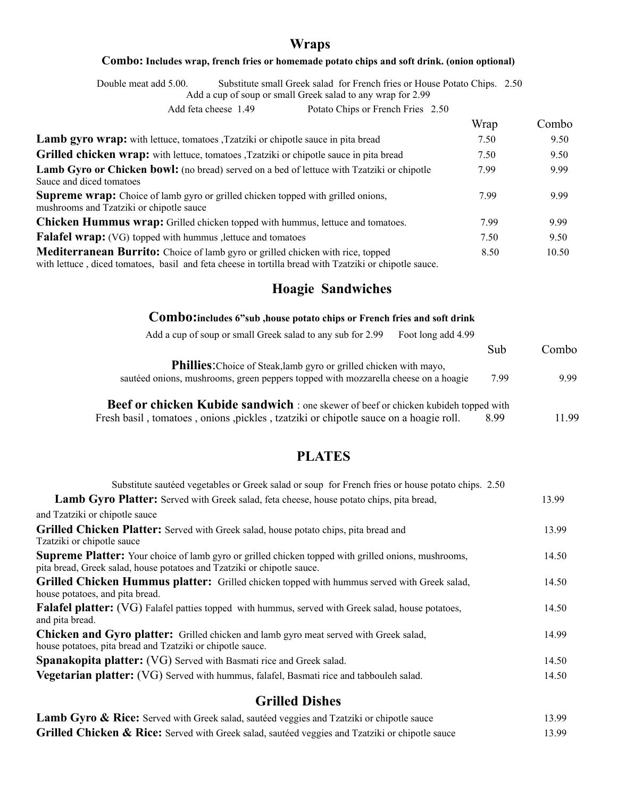## **Wraps**

#### **Combo: Includes wrap, french fries or homemade potato chips and soft drink. (onion optional)**

Double meat add 5.00. Substitute small Greek salad for French fries or House Potato Chips. 2.50

Add a cup of soup or small Greek salad to any wrap for 2.99

Add feta cheese 1.49 Potato Chips or French Fries 2.50

|                                                                                                                                                                                                                                                                                                                                              | Wrap | Combo |
|----------------------------------------------------------------------------------------------------------------------------------------------------------------------------------------------------------------------------------------------------------------------------------------------------------------------------------------------|------|-------|
| <b>Lamb gyro wrap:</b> with lettuce, tomatoes , Tzatziki or chipotle sauce in pita bread                                                                                                                                                                                                                                                     | 7.50 | 9.50  |
| <b>Grilled chicken wrap:</b> with lettuce, tomatoes , Tzatziki or chipotle sauce in pita bread                                                                                                                                                                                                                                               | 7.50 | 9.50  |
| <b>Lamb Gyro or Chicken bowl:</b> (no bread) served on a bed of lettuce with Tzatziki or chipotle<br>Sauce and diced tomatoes                                                                                                                                                                                                                | 7.99 | 9.99  |
| <b>Supreme wrap:</b> Choice of lamb gyro or grilled chicken topped with grilled onions,<br>mushrooms and Tzatziki or chipotle sauce                                                                                                                                                                                                          | 7.99 | 9.99  |
| <b>Chicken Hummus wrap:</b> Grilled chicken topped with hummus, lettuce and tomatoes.                                                                                                                                                                                                                                                        | 7.99 | 9.99  |
| <b>Falafel wrap:</b> (VG) topped with hummus , lettuce and tomatoes                                                                                                                                                                                                                                                                          | 7.50 | 9.50  |
| <b>Mediterranean Burrito:</b> Choice of lamb gyro or grilled chicken with rice, topped<br>$\mathcal{L}(\mathbf{1},\mathbf{1},\mathbf{1})$ and the state of the state of the state of the state of the state of the state of the state of the state of the state of the state of the state of the state of the state of the state of the stat | 8.50 | 10.50 |

with lettuce , diced tomatoes, basil and feta cheese in tortilla bread with Tzatziki or chipotle sauce.

## **Hoagie Sandwiches**

#### **Combo:includes 6"sub ,house potato chips or French fries and soft drink**

| Add a cup of soup or small Greek salad to any sub for 2.99<br>Foot long add 4.99           |      |       |
|--------------------------------------------------------------------------------------------|------|-------|
|                                                                                            | Sub  | Combo |
| <b>Phillies:</b> Choice of Steak, lamb gyro or grilled chicken with mayo,                  |      |       |
| sautéed onions, mushrooms, green peppers topped with mozzarella cheese on a hoagie         | 7.99 | 9.99  |
|                                                                                            |      |       |
| <b>Beef or chicken Kubide sandwich</b> : one skewer of beef or chicken kubideh topped with |      |       |
| Fresh basil, tomatoes, onions, pickles, tzatziki or chipotle sauce on a hoagie roll.       | 899  | 1199  |

# **PLATES**

| Substitute sautéed vegetables or Greek salad or soup for French fries or house potato chips. 2.50                                                                                     |       |
|---------------------------------------------------------------------------------------------------------------------------------------------------------------------------------------|-------|
| <b>Lamb Gyro Platter:</b> Served with Greek salad, feta cheese, house potato chips, pita bread,                                                                                       | 13.99 |
| and Tzatziki or chipotle sauce                                                                                                                                                        |       |
| Grilled Chicken Platter: Served with Greek salad, house potato chips, pita bread and<br>Tzatziki or chipotle sauce                                                                    | 13.99 |
| <b>Supreme Platter:</b> Your choice of lamb gyro or grilled chicken topped with grilled onions, mushrooms,<br>pita bread, Greek salad, house potatoes and Tzatziki or chipotle sauce. | 14.50 |
| <b>Grilled Chicken Hummus platter:</b> Grilled chicken topped with hummus served with Greek salad,<br>house potatoes, and pita bread.                                                 | 14.50 |
| <b>Falafel platter:</b> (VG) Falafel patties topped with hummus, served with Greek salad, house potatoes,<br>and pita bread.                                                          | 14.50 |
| <b>Chicken and Gyro platter:</b> Grilled chicken and lamb gyro meat served with Greek salad,<br>house potatoes, pita bread and Tzatziki or chipotle sauce.                            | 14.99 |
| Spanakopita platter: (VG) Served with Basmati rice and Greek salad.                                                                                                                   | 14.50 |
| <b>Vegetarian platter:</b> (VG) Served with hummus, falafel, Basmati rice and tabbouleh salad.                                                                                        | 14.50 |
| <b>Grilled Dishes</b>                                                                                                                                                                 |       |

| <b>Lamb Gyro &amp; Rice:</b> Served with Greek salad, sautéed veggies and Tzatziki or chipotle sauce       | 13.99 |
|------------------------------------------------------------------------------------------------------------|-------|
| <b>Grilled Chicken &amp; Rice:</b> Served with Greek salad, sautéed veggies and Tzatziki or chipotle sauce | 13.99 |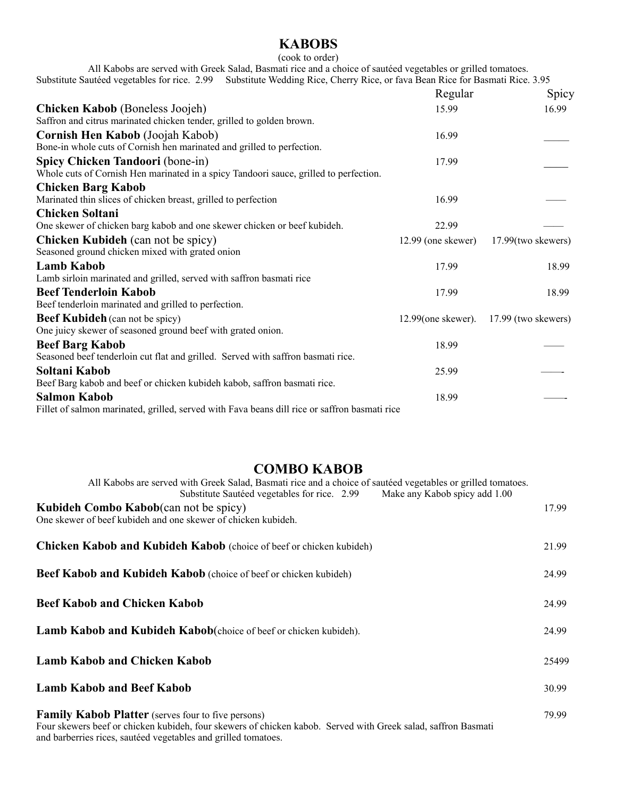# **KABOBS**

#### (cook to order)

All Kabobs are served with Greek Salad, Basmati rice and a choice of sautéed vegetables or grilled tomatoes. Substitute Sautéed vegetables for rice. 2.99 Substitute Wedding Rice, Cherry Rice, or fava Bean Rice for Basmati Rice. 3.95

|                                                                                               | Regular               | Spicy               |
|-----------------------------------------------------------------------------------------------|-----------------------|---------------------|
| <b>Chicken Kabob</b> (Boneless Joojeh)                                                        | 15.99                 | 16.99               |
| Saffron and citrus marinated chicken tender, grilled to golden brown.                         |                       |                     |
| Cornish Hen Kabob (Joojah Kabob)                                                              | 16.99                 |                     |
| Bone-in whole cuts of Cornish hen marinated and grilled to perfection.                        |                       |                     |
| Spicy Chicken Tandoori (bone-in)                                                              | 17.99                 |                     |
| Whole cuts of Cornish Hen marinated in a spicy Tandoori sauce, grilled to perfection.         |                       |                     |
| <b>Chicken Barg Kabob</b>                                                                     |                       |                     |
| Marinated thin slices of chicken breast, grilled to perfection                                | 16.99                 |                     |
| <b>Chicken Soltani</b>                                                                        |                       |                     |
| One skewer of chicken barg kabob and one skewer chicken or beef kubideh.                      | 22.99                 |                     |
| <b>Chicken Kubideh</b> (can not be spicy)                                                     | $12.99$ (one skewer)  | 17.99(two skewers)  |
| Seasoned ground chicken mixed with grated onion                                               |                       |                     |
| <b>Lamb Kabob</b>                                                                             | 17.99                 | 18.99               |
| Lamb sirloin marinated and grilled, served with saffron basmati rice                          |                       |                     |
| <b>Beef Tenderloin Kabob</b>                                                                  | 17.99                 | 18.99               |
| Beef tenderloin marinated and grilled to perfection.                                          |                       |                     |
| <b>Beef Kubideh</b> (can not be spicy)                                                        | $12.99$ (one skewer). | 17.99 (two skewers) |
| One juicy skewer of seasoned ground beef with grated onion.                                   |                       |                     |
| <b>Beef Barg Kabob</b>                                                                        | 18.99                 |                     |
| Seasoned beef tenderloin cut flat and grilled. Served with saffron basmati rice.              |                       |                     |
| Soltani Kabob                                                                                 | 25.99                 |                     |
| Beef Barg kabob and beef or chicken kubideh kabob, saffron basmati rice.                      |                       |                     |
| <b>Salmon Kabob</b>                                                                           | 18.99                 |                     |
| Fillet of salmon marinated, grilled, served with Fava beans dill rice or saffron basmati rice |                       |                     |

## **COMBO KABOB**

| All Kabobs are served with Greek Salad, Basmati rice and a choice of sauteed vegetables or grilled tomatoes.<br>Make any Kabob spicy add 1.00<br>Substitute Sautéed vegetables for rice. 2.99                                                |       |
|----------------------------------------------------------------------------------------------------------------------------------------------------------------------------------------------------------------------------------------------|-------|
| <b>Kubideh Combo Kabob</b> (can not be spicy)<br>One skewer of beef kubideh and one skewer of chicken kubideh.                                                                                                                               | 17.99 |
| <b>Chicken Kabob and Kubideh Kabob</b> (choice of beef or chicken kubideh)                                                                                                                                                                   | 21.99 |
| <b>Beef Kabob and Kubideh Kabob</b> (choice of beef or chicken kubideh)                                                                                                                                                                      | 24.99 |
| <b>Beef Kabob and Chicken Kabob</b>                                                                                                                                                                                                          | 24.99 |
| Lamb Kabob and Kubideh Kabob(choice of beef or chicken kubideh).                                                                                                                                                                             | 24.99 |
| <b>Lamb Kabob and Chicken Kabob</b>                                                                                                                                                                                                          | 25499 |
| <b>Lamb Kabob and Beef Kabob</b>                                                                                                                                                                                                             | 30.99 |
| <b>Family Kabob Platter</b> (serves four to five persons)<br>Four skewers beef or chicken kubideh, four skewers of chicken kabob. Served with Greek salad, saffron Basmati<br>and barberries rices, saute d vegetables and grilled tomatoes. | 79.99 |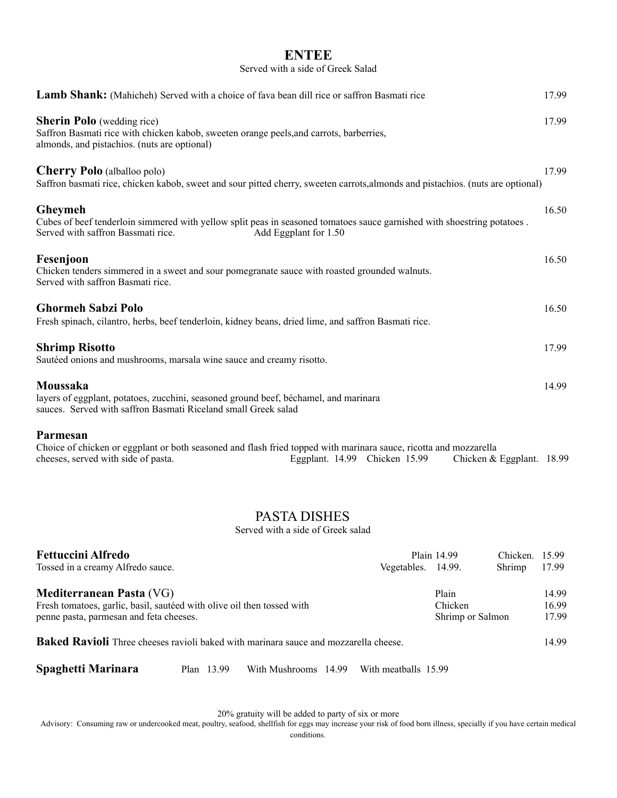### **ENTEE**

#### Served with a side of Greek Salad

| Lamb Shank: (Mahicheh) Served with a choice of fava bean dill rice or saffron Basmati rice                                                                                                            |                    |             |                           | 17.99 |
|-------------------------------------------------------------------------------------------------------------------------------------------------------------------------------------------------------|--------------------|-------------|---------------------------|-------|
| <b>Sherin Polo</b> (wedding rice)<br>Saffron Basmati rice with chicken kabob, sweeten orange peels, and carrots, barberries,<br>almonds, and pistachios. (nuts are optional)                          |                    |             |                           | 17.99 |
| <b>Cherry Polo</b> (alballoo polo)<br>Saffron basmati rice, chicken kabob, sweet and sour pitted cherry, sweeten carrots, almonds and pistachios. (nuts are optional)                                 |                    |             |                           | 17.99 |
| Gheymeh<br>Cubes of beef tenderloin simmered with yellow split peas in seasoned tomatoes sauce garnished with shoestring potatoes.<br>Served with saffron Bassmati rice.<br>Add Eggplant for 1.50     |                    |             |                           | 16.50 |
| Fesenjoon<br>Chicken tenders simmered in a sweet and sour pomegranate sauce with roasted grounded walnuts.<br>Served with saffron Basmati rice.                                                       |                    |             |                           | 16.50 |
| <b>Ghormeh Sabzi Polo</b><br>Fresh spinach, cilantro, herbs, beef tenderloin, kidney beans, dried lime, and saffron Basmati rice.                                                                     |                    |             |                           | 16.50 |
| <b>Shrimp Risotto</b><br>Sautéed onions and mushrooms, marsala wine sauce and creamy risotto.                                                                                                         |                    |             |                           | 17.99 |
| Moussaka<br>layers of eggplant, potatoes, zucchini, seasoned ground beef, béchamel, and marinara<br>sauces. Served with saffron Basmati Riceland small Greek salad                                    |                    |             |                           | 14.99 |
| Parmesan<br>Choice of chicken or eggplant or both seasoned and flash fried topped with marinara sauce, ricotta and mozzarella<br>cheeses, served with side of pasta.<br>Eggplant. 14.99 Chicken 15.99 |                    |             | Chicken & Eggplant. 18.99 |       |
| <b>PASTA DISHES</b><br>Served with a side of Greek salad                                                                                                                                              |                    |             |                           |       |
| <b>Fettuccini Alfredo</b><br>Tossed in a creamy Alfredo sauce.                                                                                                                                        | Vegetables. 14.99. | Plain 14.99 | Chicken. 15.99<br>Shrimp  | 17.99 |
| Mediterranean Pasta (VG)                                                                                                                                                                              |                    | Plain       |                           | 14.99 |

| Fresh tomatoes, garlic, basil, sautéed with olive oil then tossed with | Chicken          | 16 99 |
|------------------------------------------------------------------------|------------------|-------|
| penne pasta, parmesan and feta cheeses.                                | Shrimp or Salmon | 17.99 |
|                                                                        |                  |       |

**Baked Ravioli** Three cheeses ravioli baked with marinara sauce and mozzarella cheese. 14.99

**Spaghetti Marinara** Plan 13.99 With Mushrooms 14.99 With meatballs 15.99

20% gratuity will be added to party of six or more

Advisory: Consuming raw or undercooked meat, poultry, seafood, shellfish for eggs may increase your risk of food born illness, specially if you have certain medical conditions.